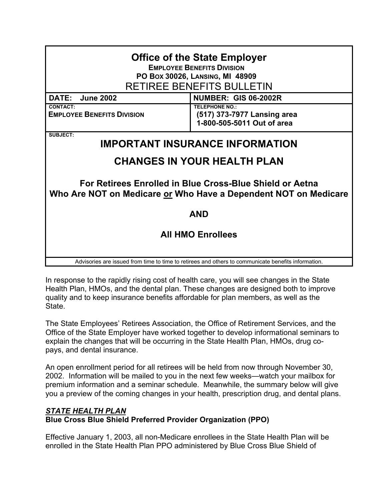| <b>Office of the State Employer</b><br><b>EMPLOYEE BENEFITS DIVISION</b><br>PO Box 30026, LANSING, MI 48909<br>RETIREE BENEFITS BULLETIN |                                                                                    |  |
|------------------------------------------------------------------------------------------------------------------------------------------|------------------------------------------------------------------------------------|--|
| <b>DATE:</b><br><b>June 2002</b>                                                                                                         | <b>NUMBER: GIS 06-2002R</b>                                                        |  |
| <b>CONTACT:</b><br><b>EMPLOYEE BENEFITS DIVISION</b>                                                                                     | <b>TELEPHONE NO.:</b><br>(517) 373-7977 Lansing area<br>1-800-505-5011 Out of area |  |
| SUBJECT:<br><b>IMPORTANT INSURANCE INFORMATION</b>                                                                                       |                                                                                    |  |
| <b>CHANGES IN YOUR HEALTH PLAN</b>                                                                                                       |                                                                                    |  |
| For Retirees Enrolled in Blue Cross-Blue Shield or Aetna<br>Who Are NOT on Medicare or Who Have a Dependent NOT on Medicare              |                                                                                    |  |
| <b>AND</b>                                                                                                                               |                                                                                    |  |
| <b>All HMO Enrollees</b>                                                                                                                 |                                                                                    |  |
| Advisories are issued from time to time to retirees and others to communicate benefits information.                                      |                                                                                    |  |

In response to the rapidly rising cost of health care, you will see changes in the State Health Plan, HMOs, and the dental plan. These changes are designed both to improve quality and to keep insurance benefits affordable for plan members, as well as the State.

The State Employees' Retirees Association, the Office of Retirement Services, and the Office of the State Employer have worked together to develop informational seminars to explain the changes that will be occurring in the State Health Plan, HMOs, drug copays, and dental insurance.

An open enrollment period for all retirees will be held from now through November 30, 2002. Information will be mailed to you in the next few weeks—watch your mailbox for premium information and a seminar schedule. Meanwhile, the summary below will give you a preview of the coming changes in your health, prescription drug, and dental plans.

# *STATE HEALTH PLAN* **Blue Cross Blue Shield Preferred Provider Organization (PPO)**

Effective January 1, 2003, all non-Medicare enrollees in the State Health Plan will be enrolled in the State Health Plan PPO administered by Blue Cross Blue Shield of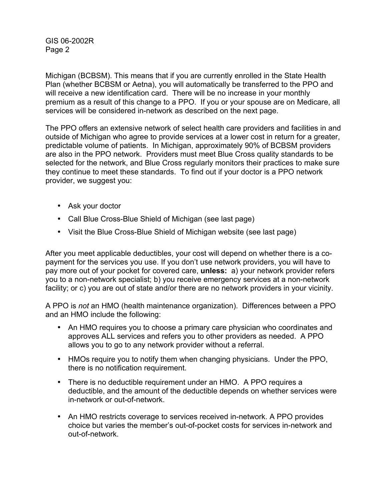Michigan (BCBSM). This means that if you are currently enrolled in the State Health Plan (whether BCBSM or Aetna), you will automatically be transferred to the PPO and will receive a new identification card. There will be no increase in your monthly premium as a result of this change to a PPO. If you or your spouse are on Medicare, all services will be considered in-network as described on the next page.

The PPO offers an extensive network of select health care providers and facilities in and outside of Michigan who agree to provide services at a lower cost in return for a greater, predictable volume of patients. In Michigan, approximately 90% of BCBSM providers are also in the PPO network. Providers must meet Blue Cross quality standards to be selected for the network, and Blue Cross regularly monitors their practices to make sure they continue to meet these standards. To find out if your doctor is a PPO network provider, we suggest you:

- Ask your doctor
- Call Blue Cross-Blue Shield of Michigan (see last page)
- Visit the Blue Cross-Blue Shield of Michigan website (see last page)

After you meet applicable deductibles, your cost will depend on whether there is a copayment for the services you use. If you don't use network providers, you will have to pay more out of your pocket for covered care, **unless:** a) your network provider refers you to a non-network specialist; b) you receive emergency services at a non-network facility; or c) you are out of state and/or there are no network providers in your vicinity.

A PPO is *not* an HMO (health maintenance organization). Differences between a PPO and an HMO include the following:

- An HMO requires you to choose a primary care physician who coordinates and approves ALL services and refers you to other providers as needed. A PPO allows you to go to any network provider without a referral.
- HMOs require you to notify them when changing physicians. Under the PPO, there is no notification requirement.
- There is no deductible requirement under an HMO. A PPO requires a deductible, and the amount of the deductible depends on whether services were in-network or out-of-network.
- An HMO restricts coverage to services received in-network. A PPO provides choice but varies the member's out-of-pocket costs for services in-network and out-of-network.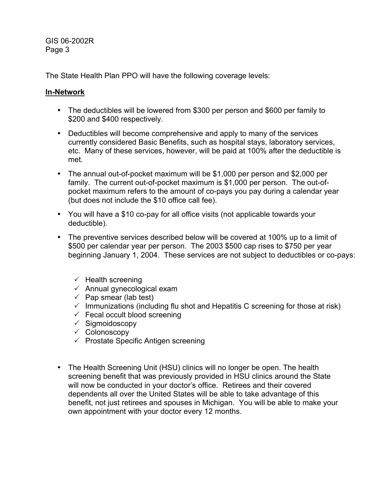The State Health Plan PPO will have the following coverage levels:

### **In-Network**

- The deductibles will be lowered from \$300 per person and \$600 per family to \$200 and \$400 respectively.
- Deductibles will become comprehensive and apply to many of the services currently considered Basic Benefits, such as hospital stays, laboratory services, etc. Many of these services, however, will be paid at 100% after the deductible is met.
- The annual out-of-pocket maximum will be \$1,000 per person and \$2,000 per family. The current out-of-pocket maximum is \$1,000 per person. The out-ofpocket maximum refers to the amount of co-pays you pay during a calendar year (but does not include the \$10 office call fee).
- You will have a \$10 co-pay for all office visits (not applicable towards your deductible).
- The preventive services described below will be covered at 100% up to a limit of \$500 per calendar year per person. The 2003 \$500 cap rises to \$750 per year beginning January 1, 2004. These services are not subject to deductibles or co-pays:
	- $\checkmark$  Health screening
	- $\checkmark$  Annual gynecological exam
	- $\checkmark$  Pap smear (lab test)
	- $\checkmark$  Immunizations (including flu shot and Hepatitis C screening for those at risk)
	- $\checkmark$  Fecal occult blood screening
	- $\checkmark$  Sigmoidoscopy
	- $\checkmark$  Colonoscopy
	- $\checkmark$  Prostate Specific Antigen screening
- The Health Screening Unit (HSU) clinics will no longer be open. The health screening benefit that was previously provided in HSU clinics around the State will now be conducted in your doctor's office. Retirees and their covered dependents all over the United States will be able to take advantage of this benefit, not just retirees and spouses in Michigan. You will be able to make your own appointment with your doctor every 12 months.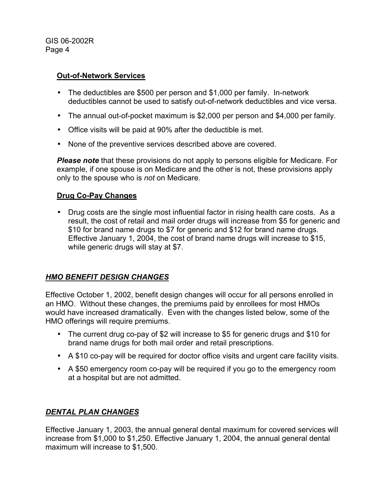### **Out-of-Network Services**

- The deductibles are \$500 per person and \$1,000 per family. In-network deductibles cannot be used to satisfy out-of-network deductibles and vice versa.
- The annual out-of-pocket maximum is \$2,000 per person and \$4,000 per family.
- Office visits will be paid at 90% after the deductible is met.
- None of the preventive services described above are covered.

*Please note* that these provisions do not apply to persons eligible for Medicare. For example, if one spouse is on Medicare and the other is not, these provisions apply only to the spouse who is *not* on Medicare.

### **Drug Co-Pay Changes**

• Drug costs are the single most influential factor in rising health care costs. As a result, the cost of retail and mail order drugs will increase from \$5 for generic and \$10 for brand name drugs to \$7 for generic and \$12 for brand name drugs. Effective January 1, 2004, the cost of brand name drugs will increase to \$15, while generic drugs will stay at \$7.

# *HMO BENEFIT DESIGN CHANGES*

Effective October 1, 2002, benefit design changes will occur for all persons enrolled in an HMO. Without these changes, the premiums paid by enrollees for most HMOs would have increased dramatically. Even with the changes listed below, some of the HMO offerings will require premiums.

- The current drug co-pay of \$2 will increase to \$5 for generic drugs and \$10 for brand name drugs for both mail order and retail prescriptions.
- A \$10 co-pay will be required for doctor office visits and urgent care facility visits.
- A \$50 emergency room co-pay will be required if you go to the emergency room at a hospital but are not admitted.

# *DENTAL PLAN CHANGES*

Effective January 1, 2003, the annual general dental maximum for covered services will increase from \$1,000 to \$1,250. Effective January 1, 2004, the annual general dental maximum will increase to \$1,500.